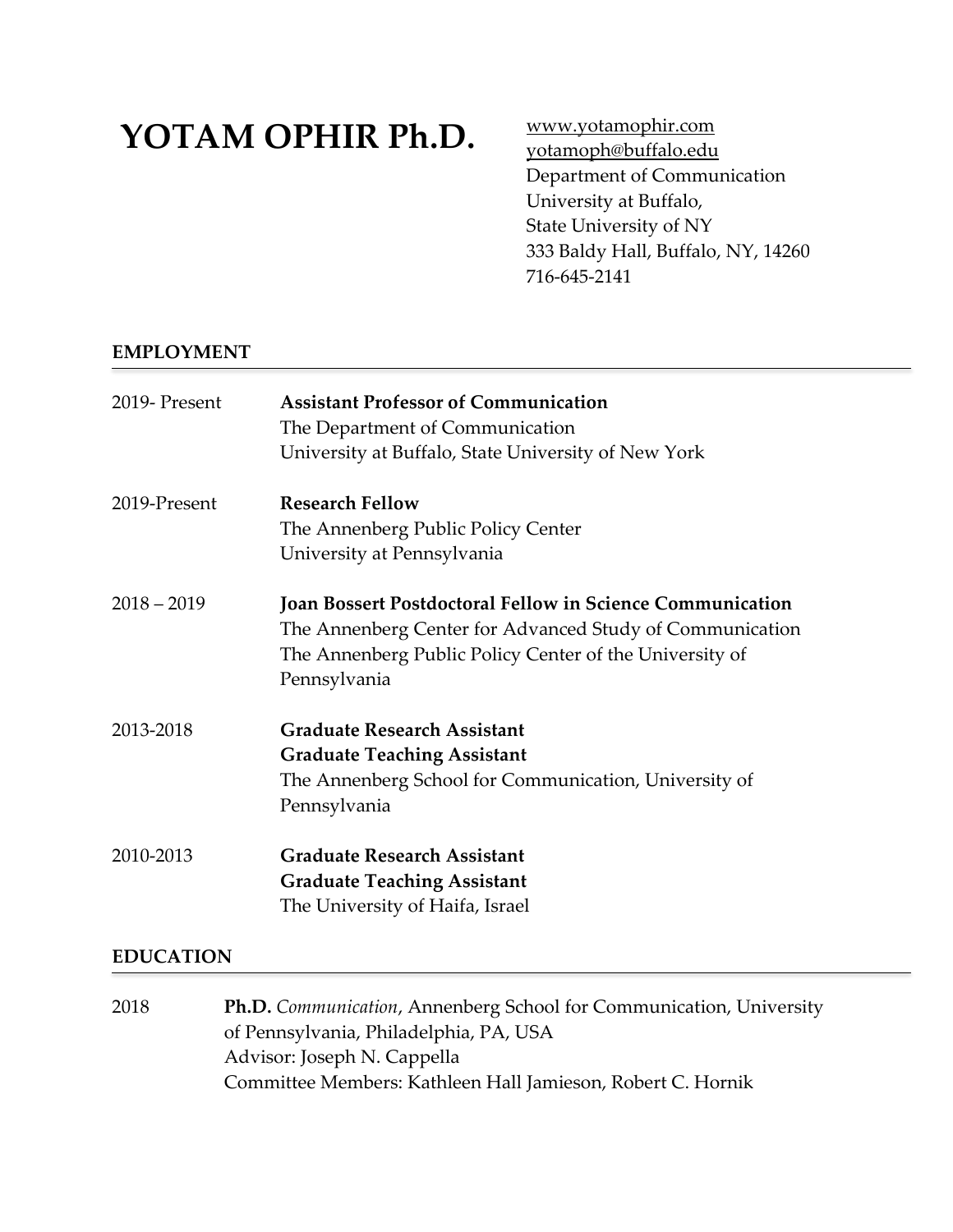# **YOTAM OPHIR Ph.D.**

[www.yotamophir.com](http://www.yotamophir.com/) [yotamoph@buffalo.edu](mailto:yotamoph@buffalo.edu) Department of Communication University at Buffalo, State University of NY 333 Baldy Hall, Buffalo, NY, 14260 716-645-2141

# **EMPLOYMENT**

| 2019-Present  | <b>Assistant Professor of Communication</b><br>The Department of Communication<br>University at Buffalo, State University of New York                                                                   |
|---------------|---------------------------------------------------------------------------------------------------------------------------------------------------------------------------------------------------------|
| 2019-Present  | <b>Research Fellow</b><br>The Annenberg Public Policy Center<br>University at Pennsylvania                                                                                                              |
| $2018 - 2019$ | <b>Joan Bossert Postdoctoral Fellow in Science Communication</b><br>The Annenberg Center for Advanced Study of Communication<br>The Annenberg Public Policy Center of the University of<br>Pennsylvania |
| 2013-2018     | <b>Graduate Research Assistant</b><br><b>Graduate Teaching Assistant</b><br>The Annenberg School for Communication, University of<br>Pennsylvania                                                       |
| 2010-2013     | <b>Graduate Research Assistant</b><br><b>Graduate Teaching Assistant</b><br>The University of Haifa, Israel                                                                                             |

# **EDUCATION**

2018 **Ph.D.** *Communication*, Annenberg School for Communication, University of Pennsylvania, Philadelphia, PA, USA Advisor: Joseph N. Cappella Committee Members: Kathleen Hall Jamieson, Robert C. Hornik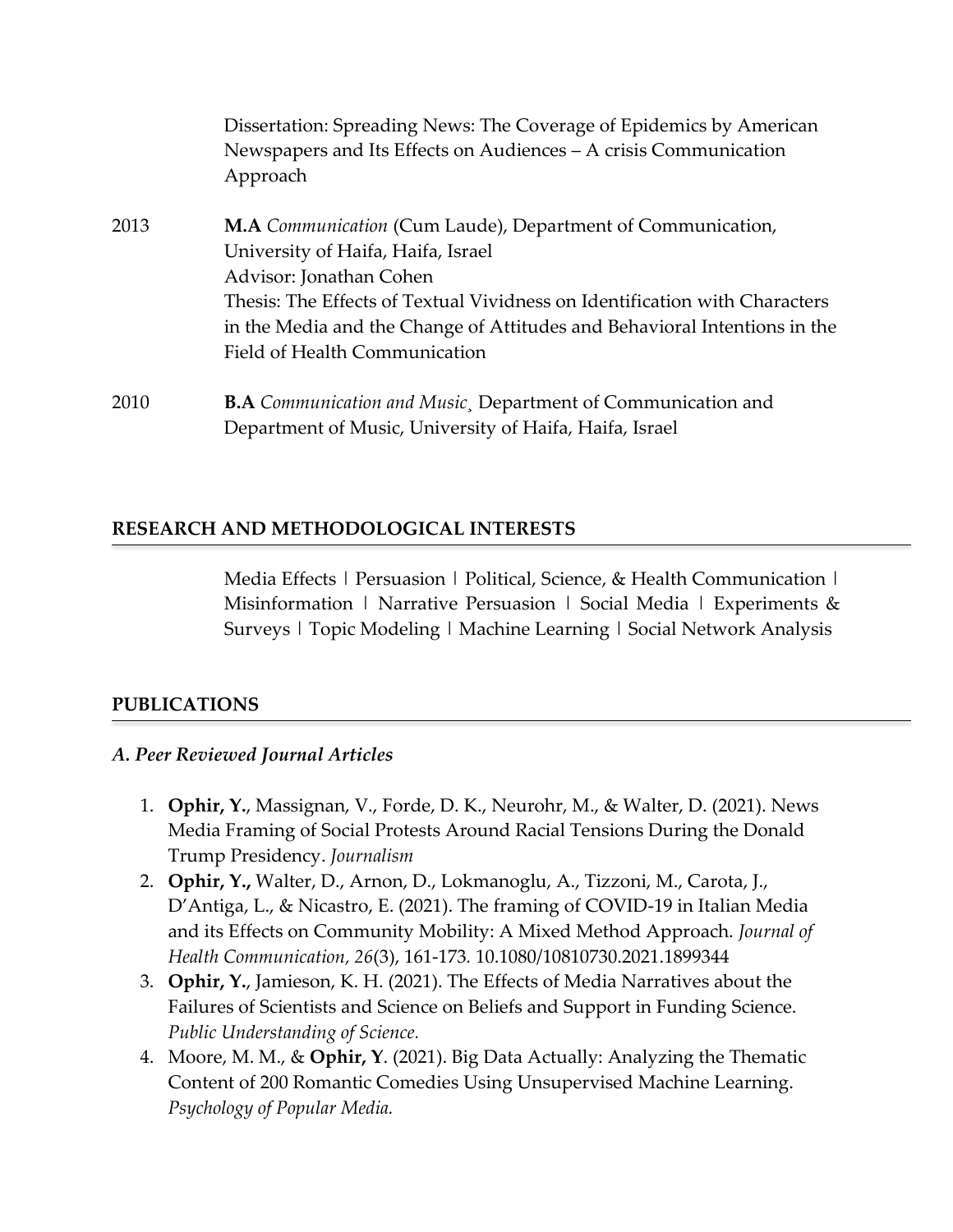|      | Dissertation: Spreading News: The Coverage of Epidemics by American<br>Newspapers and Its Effects on Audiences - A crisis Communication<br>Approach                                                                                                                                                                      |
|------|--------------------------------------------------------------------------------------------------------------------------------------------------------------------------------------------------------------------------------------------------------------------------------------------------------------------------|
| 2013 | M.A Communication (Cum Laude), Department of Communication,<br>University of Haifa, Haifa, Israel<br>Advisor: Jonathan Cohen<br>Thesis: The Effects of Textual Vividness on Identification with Characters<br>in the Media and the Change of Attitudes and Behavioral Intentions in the<br>Field of Health Communication |
| 2010 | <b>B.A</b> Communication and Music, Department of Communication and                                                                                                                                                                                                                                                      |

Department of Music, University of Haifa, Haifa, Israel

# **RESEARCH AND METHODOLOGICAL INTERESTS**

Media Effects | Persuasion | Political, Science, & Health Communication | Misinformation | Narrative Persuasion | Social Media | Experiments  $\&$ Surveys | Topic Modeling | Machine Learning | Social Network Analysis

## **PUBLICATIONS**

## *A. Peer Reviewed Journal Articles*

- 1. **Ophir, Y.**, Massignan, V., Forde, D. K., Neurohr, M., & Walter, D. (2021). News Media Framing of Social Protests Around Racial Tensions During the Donald Trump Presidency. *Journalism*
- 2. **Ophir, Y.,** Walter, D., Arnon, D., Lokmanoglu, A., Tizzoni, M., Carota, J., D'Antiga, L., & Nicastro, E. (2021). The framing of COVID-19 in Italian Media and its Effects on Community Mobility: A Mixed Method Approach. *Journal of Health Communication, 26*(3), 161-173*.* 10.1080/10810730.2021.1899344
- 3. **Ophir, Y.**, Jamieson, K. H. (2021). The Effects of Media Narratives about the Failures of Scientists and Science on Beliefs and Support in Funding Science. *Public Understanding of Science.*
- 4. Moore, M. M., & **Ophir, Y**. (2021). Big Data Actually: Analyzing the Thematic Content of 200 Romantic Comedies Using Unsupervised Machine Learning. *Psychology of Popular Media.*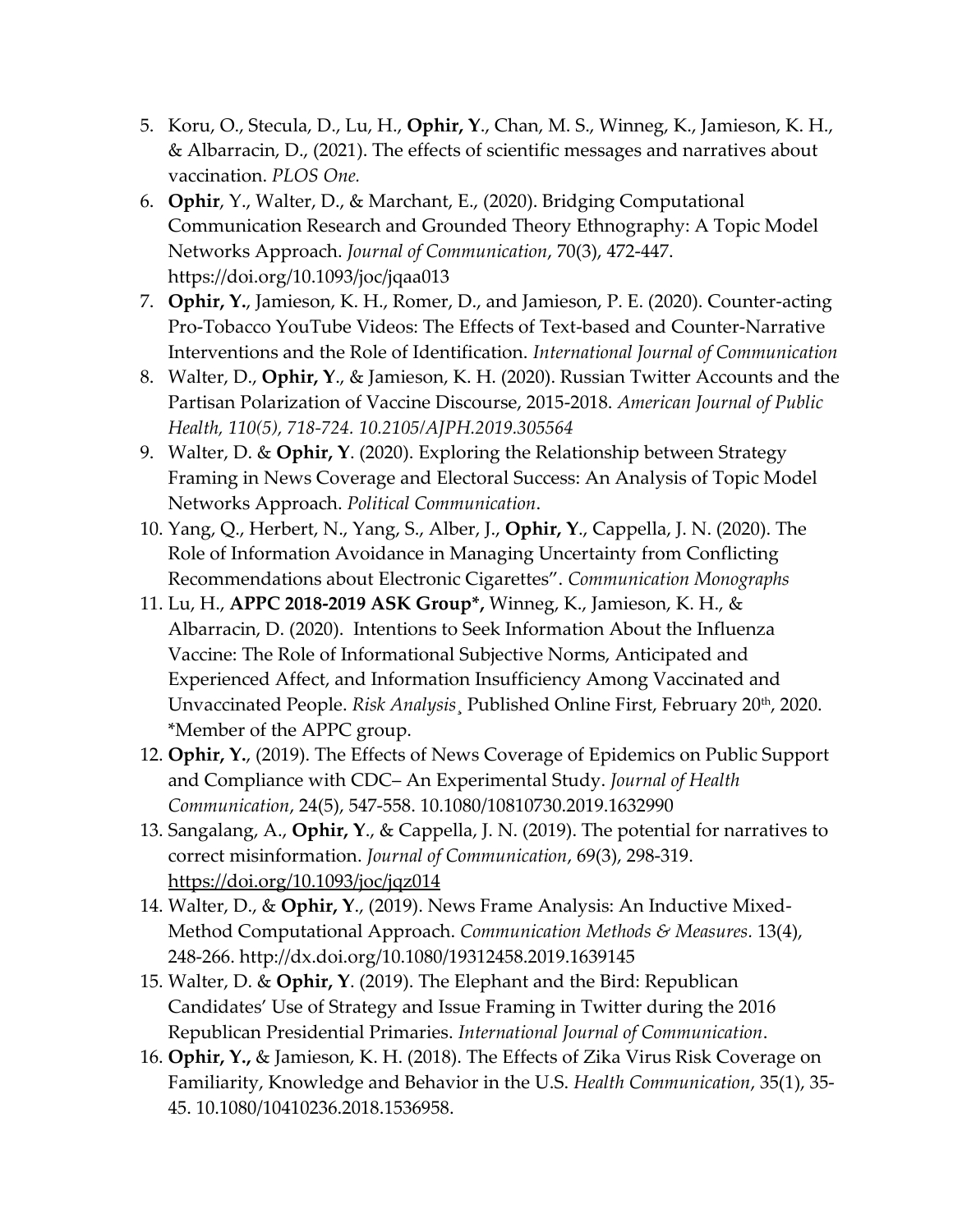- 5. Koru, O., Stecula, D., Lu, H., **Ophir, Y**., Chan, M. S., Winneg, K., Jamieson, K. H., & Albarracin, D., (2021). The effects of scientific messages and narratives about vaccination. *PLOS One.*
- 6. **Ophir**, Y., Walter, D., & Marchant, E., (2020). Bridging Computational Communication Research and Grounded Theory Ethnography: A Topic Model Networks Approach. *Journal of Communication*, 70(3), 472-447. https://doi.org/10.1093/joc/jqaa013
- 7. **Ophir, Y.**, Jamieson, K. H., Romer, D., and Jamieson, P. E. (2020). Counter-acting Pro-Tobacco YouTube Videos: The Effects of Text-based and Counter-Narrative Interventions and the Role of Identification. *International Journal of Communication*
- 8. Walter, D., **Ophir, Y**., & Jamieson, K. H. (2020). Russian Twitter Accounts and the Partisan Polarization of Vaccine Discourse, 2015-2018. *American Journal of Public Health, 110(5), 718-724. 10.2105/AJPH.2019.305564*
- 9. Walter, D. & **Ophir, Y**. (2020). Exploring the Relationship between Strategy Framing in News Coverage and Electoral Success: An Analysis of Topic Model Networks Approach. *Political Communication*.
- 10. Yang, Q., Herbert, N., Yang, S., Alber, J., **Ophir, Y**., Cappella, J. N. (2020). The Role of Information Avoidance in Managing Uncertainty from Conflicting Recommendations about Electronic Cigarettes". *Communication Monographs*
- 11. Lu, H., **APPC 2018-2019 ASK Group\*,** Winneg, K., Jamieson, K. H., & Albarracin, D. (2020). Intentions to Seek Information About the Influenza Vaccine: The Role of Informational Subjective Norms, Anticipated and Experienced Affect, and Information Insufficiency Among Vaccinated and Unvaccinated People. *Risk Analysis*¸ Published Online First, February 20th, 2020. \*Member of the APPC group.
- 12. **Ophir, Y.**, (2019). The Effects of News Coverage of Epidemics on Public Support and Compliance with CDC– An Experimental Study. *Journal of Health Communication*, 24(5), 547-558. 10.1080/10810730.2019.1632990
- 13. Sangalang, A., **Ophir, Y**., & Cappella, J. N. (2019). The potential for narratives to correct misinformation. *Journal of Communication*, 69(3), 298-319. <https://doi.org/10.1093/joc/jqz014>
- 14. Walter, D., & **Ophir, Y**., (2019). News Frame Analysis: An Inductive Mixed-Method Computational Approach. *Communication Methods & Measures.* 13(4), 248-266. http://dx.doi.org/10.1080/19312458.2019.1639145
- 15. Walter, D. & **Ophir, Y**. (2019). The Elephant and the Bird: Republican Candidates' Use of Strategy and Issue Framing in Twitter during the 2016 Republican Presidential Primaries. *International Journal of Communication*.
- 16. **Ophir, Y.,** & Jamieson, K. H. (2018). The Effects of Zika Virus Risk Coverage on Familiarity, Knowledge and Behavior in the U.S. *Health Communication*, 35(1), 35- 45. 10.1080/10410236.2018.1536958.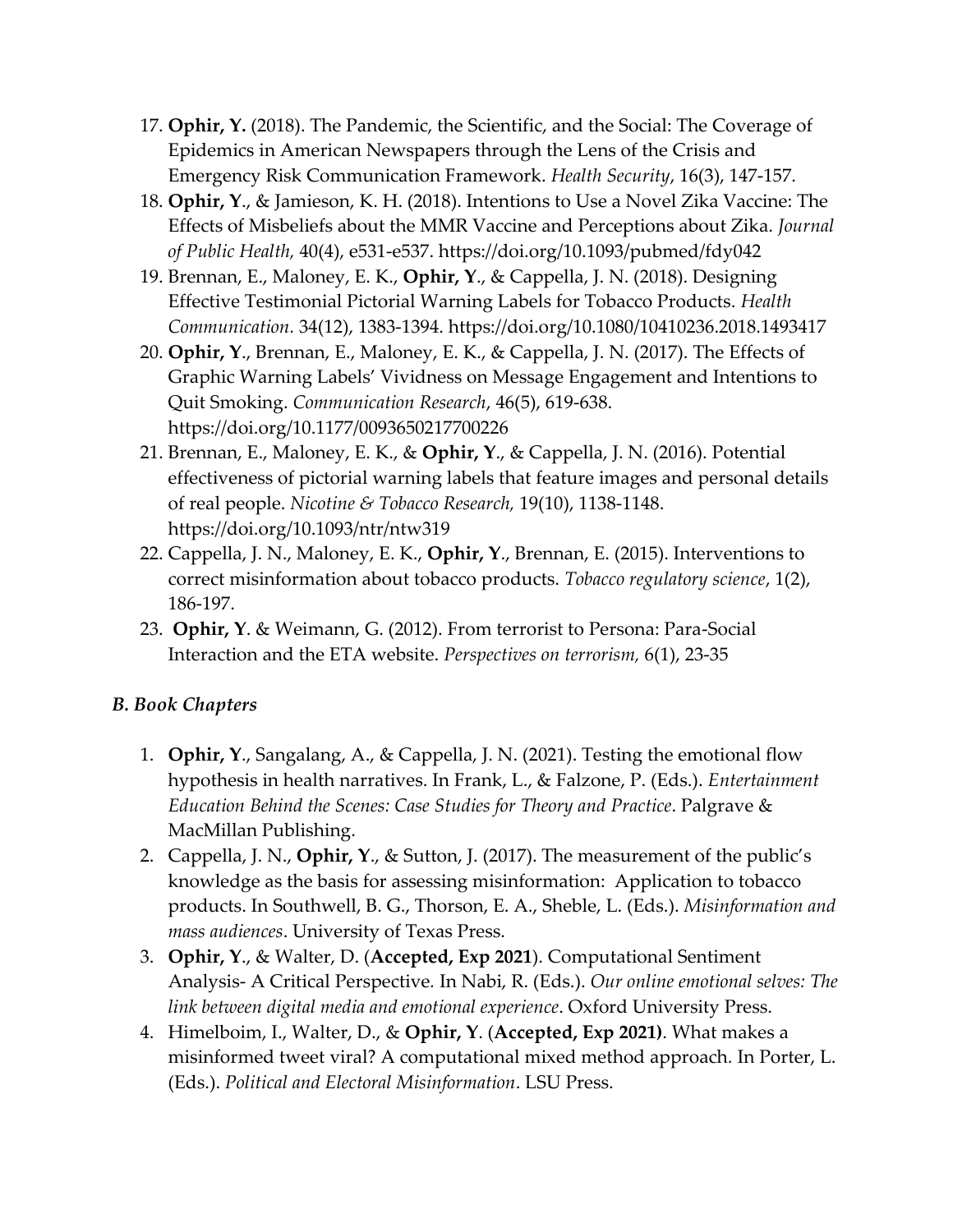- 17. **Ophir, Y.** (2018). The Pandemic, the Scientific, and the Social: The Coverage of Epidemics in American Newspapers through the Lens of the Crisis and Emergency Risk Communication Framework. *Health Security*, 16(3), 147-157.
- 18. **Ophir, Y**., & Jamieson, K. H. (2018). Intentions to Use a Novel Zika Vaccine: The Effects of Misbeliefs about the MMR Vaccine and Perceptions about Zika. *Journal of Public Health,* 40(4), e531-e537. https://doi.org/10.1093/pubmed/fdy042
- 19. Brennan, E., Maloney, E. K., **Ophir, Y**., & Cappella, J. N. (2018). Designing Effective Testimonial Pictorial Warning Labels for Tobacco Products. *Health Communication.* 34(12), 1383-1394. https://doi.org/10.1080/10410236.2018.1493417
- 20. **Ophir, Y**., Brennan, E., Maloney, E. K., & Cappella, J. N. (2017). The Effects of Graphic Warning Labels' Vividness on Message Engagement and Intentions to Quit Smoking. *Communication Research*, 46(5), 619-638. https://doi.org/10.1177/0093650217700226
- 21. Brennan, E., Maloney, E. K., & **Ophir, Y**., & Cappella, J. N. (2016). Potential effectiveness of pictorial warning labels that feature images and personal details of real people. *Nicotine & Tobacco Research,* 19(10), 1138-1148. https://doi.org/10.1093/ntr/ntw319
- 22. Cappella, J. N., Maloney, E. K., **Ophir, Y**., Brennan, E. (2015). Interventions to correct misinformation about tobacco products. *Tobacco regulatory science*, 1(2), 186-197.
- 23. **Ophir, Y**. & Weimann, G. (2012). From terrorist to Persona: Para-Social Interaction and the ETA website. *Perspectives on terrorism,* 6(1), 23-35

# *B. Book Chapters*

- 1. **Ophir, Y**., Sangalang, A., & Cappella, J. N. (2021). Testing the emotional flow hypothesis in health narratives. In Frank, L., & Falzone, P. (Eds.). *Entertainment Education Behind the Scenes: Case Studies for Theory and Practice*. Palgrave & MacMillan Publishing.
- 2. Cappella, J. N., **Ophir, Y**., & Sutton, J. (2017). The measurement of the public's knowledge as the basis for assessing misinformation: Application to tobacco products. In Southwell, B. G., Thorson, E. A., Sheble, L. (Eds.). *Misinformation and mass audiences*. University of Texas Press.
- 3. **Ophir, Y**., & Walter, D. (**Accepted, Exp 2021**). Computational Sentiment Analysis- A Critical Perspective*.* In Nabi, R. (Eds.). *Our online emotional selves: The link between digital media and emotional experience*. Oxford University Press.
- 4. Himelboim, I., Walter, D., & **Ophir, Y**. (**Accepted, Exp 2021)**. What makes a misinformed tweet viral? A computational mixed method approach*.* In Porter, L. (Eds.). *Political and Electoral Misinformation*. LSU Press.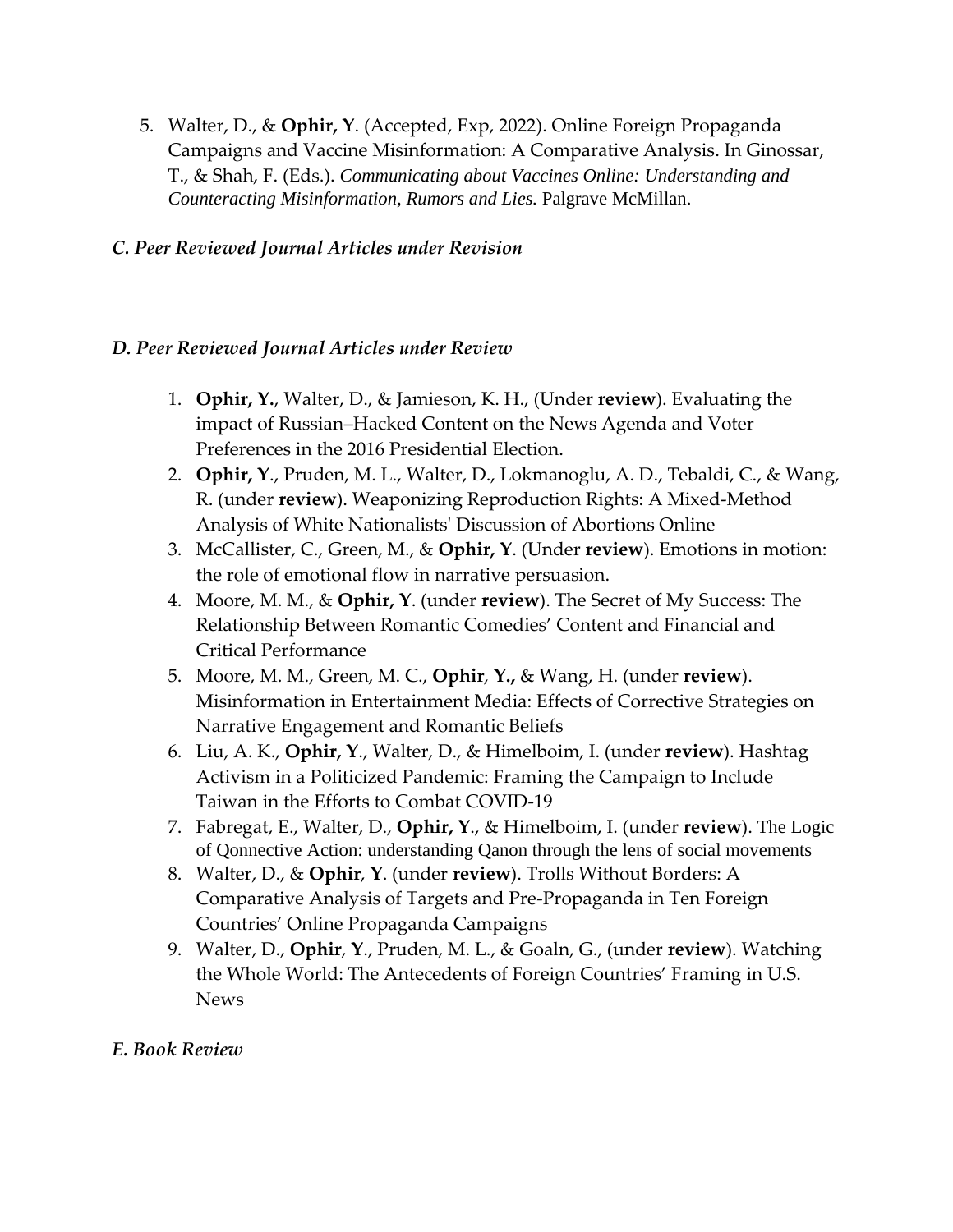5. Walter, D., & **Ophir, Y**. (Accepted, Exp, 2022). Online Foreign Propaganda Campaigns and Vaccine Misinformation: A Comparative Analysis. In Ginossar, T., & Shah, F. (Eds.). *Communicating about Vaccines Online: Understanding and Counteracting Misinformation, Rumors and Lies.* Palgrave McMillan.

## *C. Peer Reviewed Journal Articles under Revision*

## *D. Peer Reviewed Journal Articles under Review*

- 1. **Ophir, Y.**, Walter, D., & Jamieson, K. H., (Under **review**). Evaluating the impact of Russian–Hacked Content on the News Agenda and Voter Preferences in the 2016 Presidential Election.
- 2. **Ophir, Y**., Pruden, M. L., Walter, D., Lokmanoglu, A. D., Tebaldi, C., & Wang, R. (under **review**). Weaponizing Reproduction Rights: A Mixed-Method Analysis of White Nationalists' Discussion of Abortions Online
- 3. McCallister, C., Green, M., & **Ophir, Y**. (Under **review**). Emotions in motion: the role of emotional flow in narrative persuasion.
- 4. Moore, M. M., & **Ophir, Y**. (under **review**). The Secret of My Success: The Relationship Between Romantic Comedies' Content and Financial and Critical Performance
- 5. Moore, M. M., Green, M. C., **Ophir**, **Y.,** & Wang, H. (under **review**). Misinformation in Entertainment Media: Effects of Corrective Strategies on Narrative Engagement and Romantic Beliefs
- 6. Liu, A. K., **Ophir, Y**., Walter, D., & Himelboim, I. (under **review**). Hashtag Activism in a Politicized Pandemic: Framing the Campaign to Include Taiwan in the Efforts to Combat COVID-19
- 7. Fabregat, E., Walter, D., **Ophir, Y**., & Himelboim, I. (under **review**). The Logic of Qonnective Action: understanding Qanon through the lens of social movements
- 8. Walter, D., & **Ophir**, **Y**. (under **review**). Trolls Without Borders: A Comparative Analysis of Targets and Pre-Propaganda in Ten Foreign Countries' Online Propaganda Campaigns
- 9. Walter, D., **Ophir**, **Y**., Pruden, M. L., & Goaln, G., (under **review**). Watching the Whole World: The Antecedents of Foreign Countries' Framing in U.S. News

# *E. Book Review*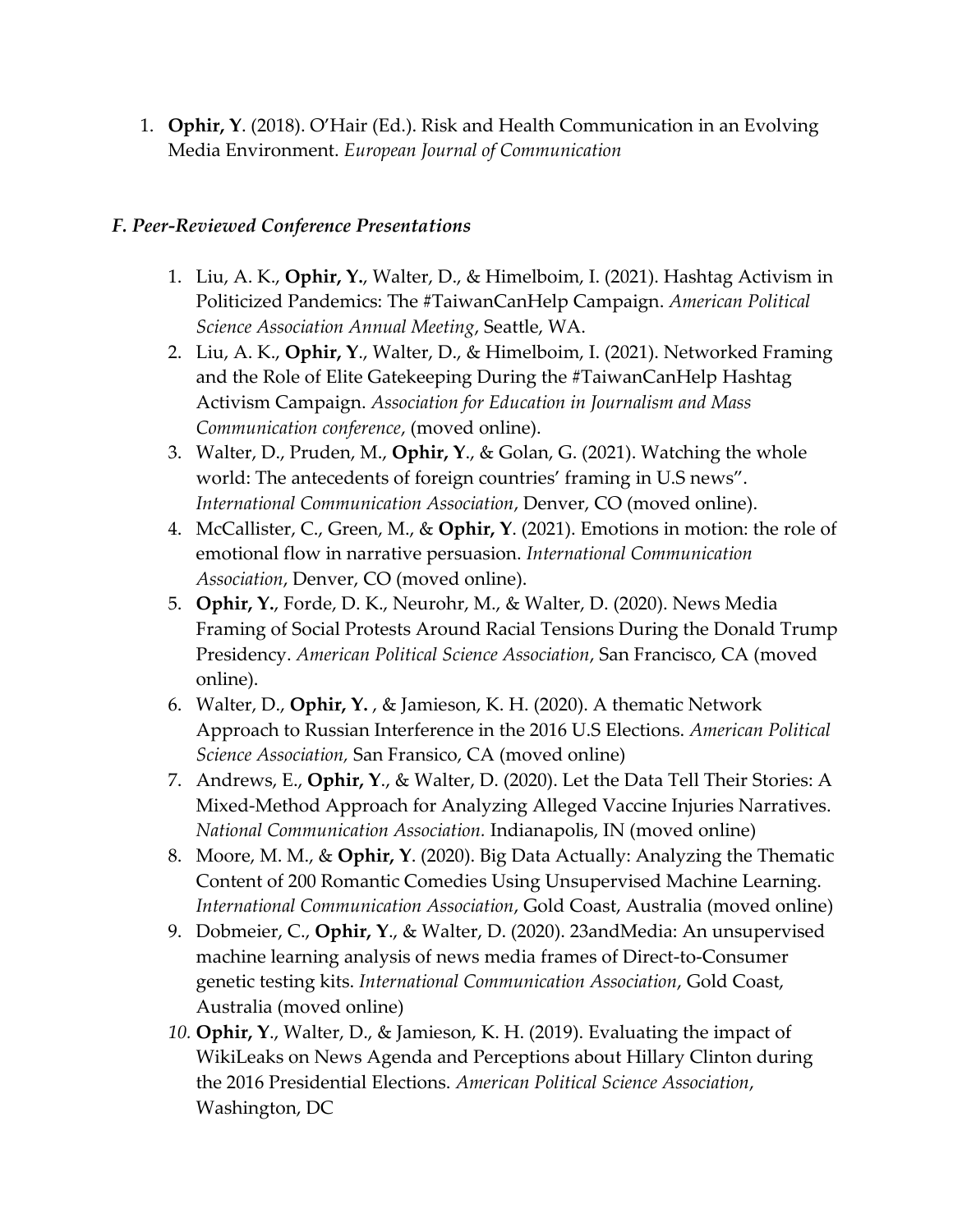1. **Ophir, Y**. (2018). O'Hair (Ed.). Risk and Health Communication in an Evolving Media Environment. *European Journal of Communication*

## *F. Peer-Reviewed Conference Presentations*

- 1. Liu, A. K., **Ophir, Y.**, Walter, D., & Himelboim, I. (2021). Hashtag Activism in Politicized Pandemics: The #TaiwanCanHelp Campaign. *American Political Science Association Annual Meeting*, Seattle, WA.
- 2. Liu, A. K., **Ophir, Y**., Walter, D., & Himelboim, I. (2021). Networked Framing and the Role of Elite Gatekeeping During the #TaiwanCanHelp Hashtag Activism Campaign. *Association for Education in Journalism and Mass Communication conference*, (moved online).
- 3. Walter, D., Pruden, M., **Ophir, Y**., & Golan, G. (2021). Watching the whole world: The antecedents of foreign countries' framing in U.S news". *International Communication Association*, Denver, CO (moved online).
- 4. McCallister, C., Green, M., & **Ophir, Y**. (2021). Emotions in motion: the role of emotional flow in narrative persuasion. *International Communication Association*, Denver, CO (moved online).
- 5. **Ophir, Y.**, Forde, D. K., Neurohr, M., & Walter, D. (2020). News Media Framing of Social Protests Around Racial Tensions During the Donald Trump Presidency. *American Political Science Association*, San Francisco, CA (moved online).
- 6. Walter, D., **Ophir, Y.** , & Jamieson, K. H. (2020). A thematic Network Approach to Russian Interference in the 2016 U.S Elections. *American Political Science Association,* San Fransico, CA (moved online)
- 7. Andrews, E., **Ophir, Y**., & Walter, D. (2020). Let the Data Tell Their Stories: A Mixed-Method Approach for Analyzing Alleged Vaccine Injuries Narratives. *National Communication Association.* Indianapolis, IN (moved online)
- 8. Moore, M. M., & **Ophir, Y**. (2020). Big Data Actually: Analyzing the Thematic Content of 200 Romantic Comedies Using Unsupervised Machine Learning. *International Communication Association*, Gold Coast, Australia (moved online)
- 9. Dobmeier, C., **Ophir, Y**., & Walter, D. (2020). 23andMedia: An unsupervised machine learning analysis of news media frames of Direct-to-Consumer genetic testing kits. *International Communication Association*, Gold Coast, Australia (moved online)
- *10.* **Ophir, Y**., Walter, D., & Jamieson, K. H. (2019). Evaluating the impact of WikiLeaks on News Agenda and Perceptions about Hillary Clinton during the 2016 Presidential Elections. *American Political Science Association*, Washington, DC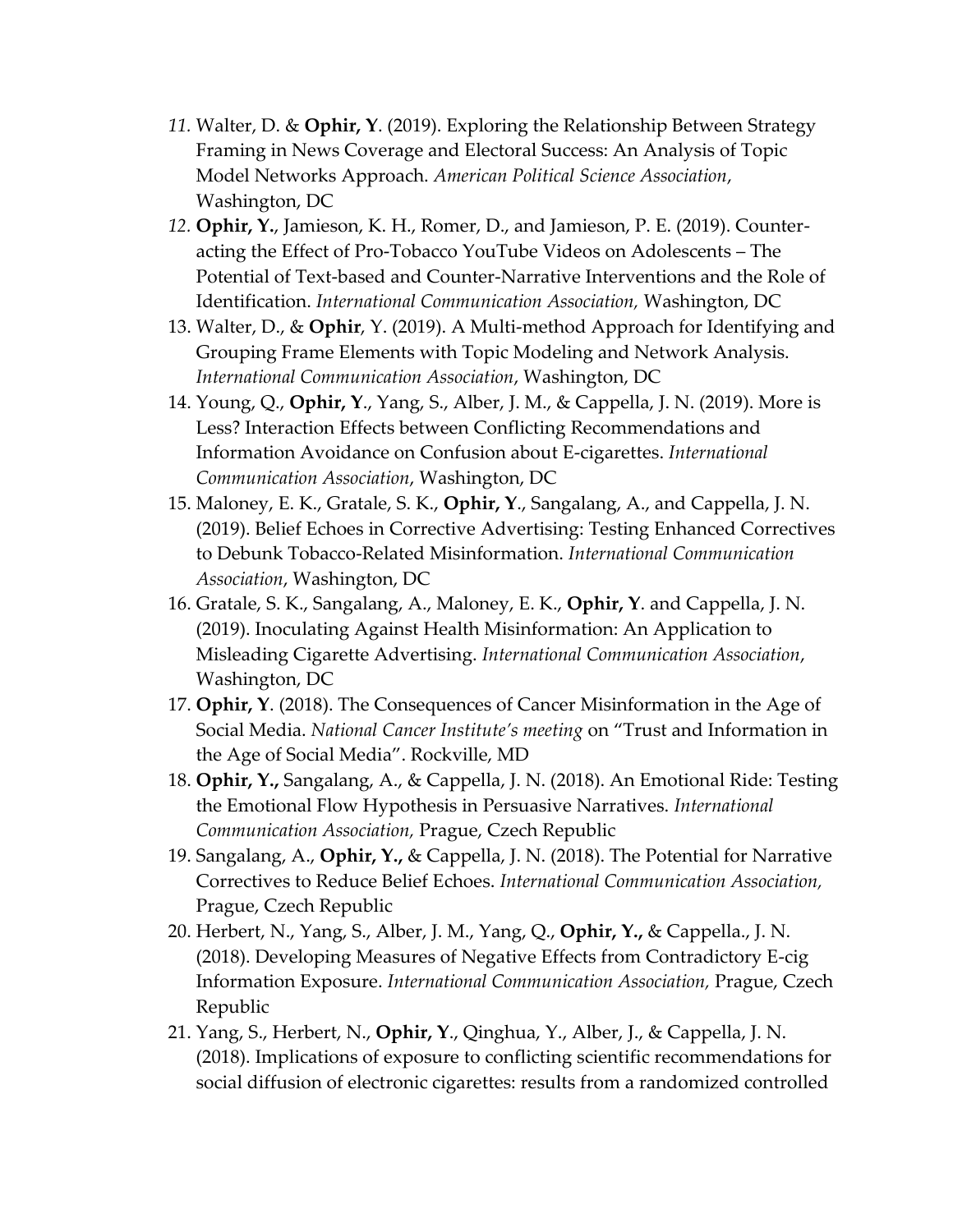- *11.* Walter, D. & **Ophir, Y**. (2019). Exploring the Relationship Between Strategy Framing in News Coverage and Electoral Success: An Analysis of Topic Model Networks Approach. *American Political Science Association*, Washington, DC
- *12.* **Ophir, Y.**, Jamieson, K. H., Romer, D., and Jamieson, P. E. (2019). Counteracting the Effect of Pro-Tobacco YouTube Videos on Adolescents – The Potential of Text-based and Counter-Narrative Interventions and the Role of Identification. *International Communication Association,* Washington, DC
- 13. Walter, D., & **Ophir**, Y. (2019). A Multi-method Approach for Identifying and Grouping Frame Elements with Topic Modeling and Network Analysis. *International Communication Association*, Washington, DC
- 14. Young, Q., **Ophir, Y**., Yang, S., Alber, J. M., & Cappella, J. N. (2019). More is Less? Interaction Effects between Conflicting Recommendations and Information Avoidance on Confusion about E-cigarettes. *International Communication Association*, Washington, DC
- 15. Maloney, E. K., Gratale, S. K., **Ophir, Y**., Sangalang, A., and Cappella, J. N. (2019). Belief Echoes in Corrective Advertising: Testing Enhanced Correctives to Debunk Tobacco-Related Misinformation. *International Communication Association*, Washington, DC
- 16. Gratale, S. K., Sangalang, A., Maloney, E. K., **Ophir, Y**. and Cappella, J. N. (2019). Inoculating Against Health Misinformation: An Application to Misleading Cigarette Advertising. *International Communication Association*, Washington, DC
- 17. **Ophir, Y**. (2018). The Consequences of Cancer Misinformation in the Age of Social Media. *National Cancer Institute's meeting* on "Trust and Information in the Age of Social Media". Rockville, MD
- 18. **Ophir, Y.,** Sangalang, A., & Cappella, J. N. (2018). An Emotional Ride: Testing the Emotional Flow Hypothesis in Persuasive Narratives. *International Communication Association,* Prague, Czech Republic
- 19. Sangalang, A., **Ophir, Y.,** & Cappella, J. N. (2018). The Potential for Narrative Correctives to Reduce Belief Echoes. *International Communication Association,*  Prague, Czech Republic
- 20. Herbert, N., Yang, S., Alber, J. M., Yang, Q., **Ophir, Y.,** & Cappella., J. N. (2018). Developing Measures of Negative Effects from Contradictory E-cig Information Exposure. *International Communication Association,* Prague, Czech Republic
- 21. Yang, S., Herbert, N., **Ophir, Y**., Qinghua, Y., Alber, J., & Cappella, J. N. (2018). Implications of exposure to conflicting scientific recommendations for social diffusion of electronic cigarettes: results from a randomized controlled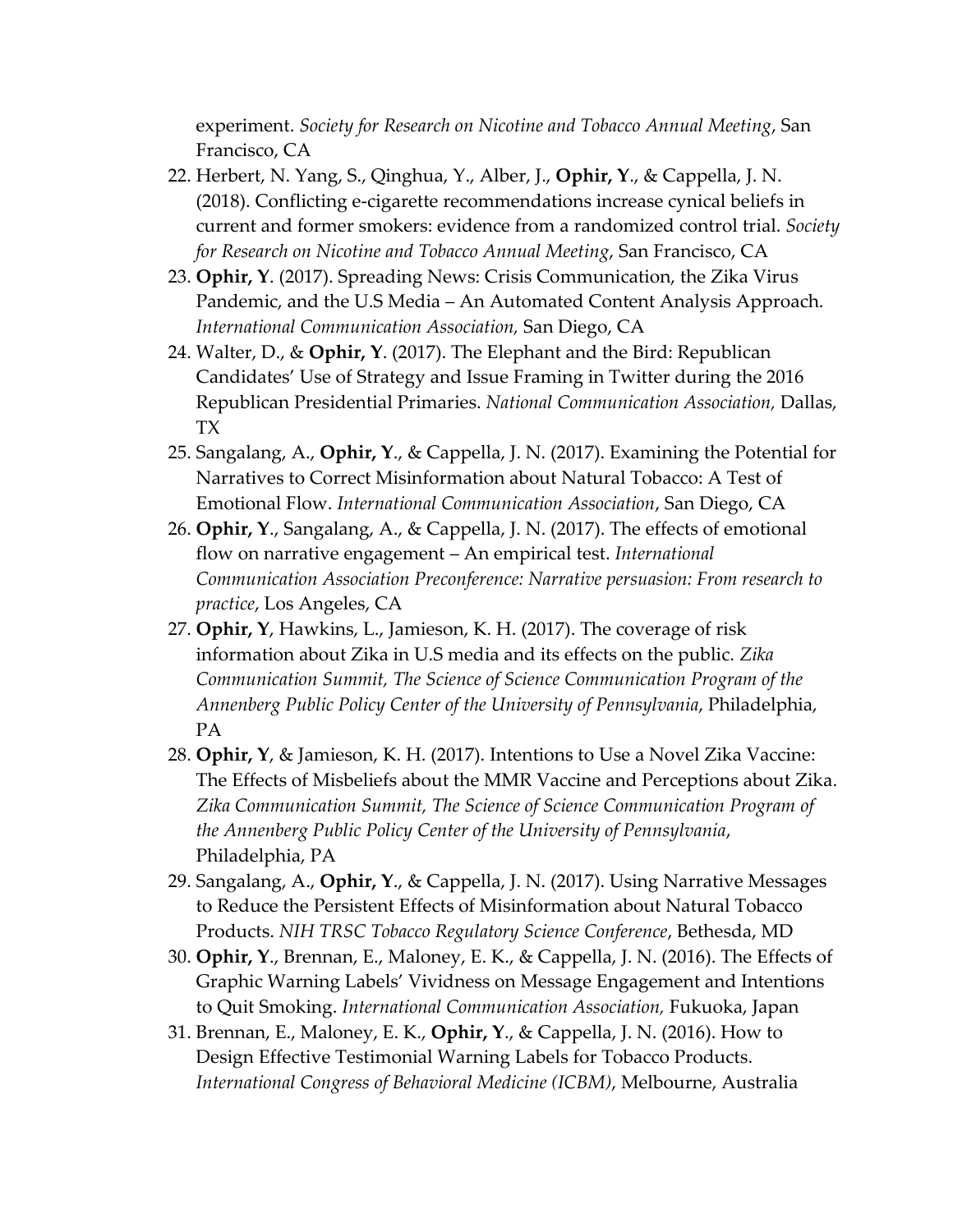experiment. *Society for Research on Nicotine and Tobacco Annual Meeting*, San Francisco, CA

- 22. Herbert, N. Yang, S., Qinghua, Y., Alber, J., **Ophir, Y**., & Cappella, J. N. (2018). Conflicting e-cigarette recommendations increase cynical beliefs in current and former smokers: evidence from a randomized control trial. *Society for Research on Nicotine and Tobacco Annual Meeting*, San Francisco, CA
- 23. **Ophir, Y**. (2017). Spreading News: Crisis Communication, the Zika Virus Pandemic, and the U.S Media – An Automated Content Analysis Approach. *International Communication Association,* San Diego, CA
- 24. Walter, D., & **Ophir, Y**. (2017). The Elephant and the Bird: Republican Candidates' Use of Strategy and Issue Framing in Twitter during the 2016 Republican Presidential Primaries. *National Communication Association,* Dallas, TX
- 25. Sangalang, A., **Ophir, Y**., & Cappella, J. N. (2017). Examining the Potential for Narratives to Correct Misinformation about Natural Tobacco: A Test of Emotional Flow. *International Communication Association*, San Diego, CA
- 26. **Ophir, Y**., Sangalang, A., & Cappella, J. N. (2017). The effects of emotional flow on narrative engagement – An empirical test. *International Communication Association Preconference: Narrative persuasion: From research to practice*, Los Angeles, CA
- 27. **Ophir, Y**, Hawkins, L., Jamieson, K. H. (2017). The coverage of risk information about Zika in U.S media and its effects on the public. *Zika Communication Summit, The Science of Science Communication Program of the Annenberg Public Policy Center of the University of Pennsylvania*, Philadelphia, PA
- 28. **Ophir, Y**, & Jamieson, K. H. (2017). Intentions to Use a Novel Zika Vaccine: The Effects of Misbeliefs about the MMR Vaccine and Perceptions about Zika. *Zika Communication Summit, The Science of Science Communication Program of the Annenberg Public Policy Center of the University of Pennsylvania*, Philadelphia, PA
- 29. Sangalang, A., **Ophir, Y**., & Cappella, J. N. (2017). Using Narrative Messages to Reduce the Persistent Effects of Misinformation about Natural Tobacco Products. *NIH TRSC Tobacco Regulatory Science Conference*, Bethesda, MD
- 30. **Ophir, Y**., Brennan, E., Maloney, E. K., & Cappella, J. N. (2016). The Effects of Graphic Warning Labels' Vividness on Message Engagement and Intentions to Quit Smoking. *International Communication Association,* Fukuoka, Japan
- 31. Brennan, E., Maloney, E. K., **Ophir, Y**., & Cappella, J. N. (2016). How to Design Effective Testimonial Warning Labels for Tobacco Products. *International Congress of Behavioral Medicine (ICBM)*, Melbourne, Australia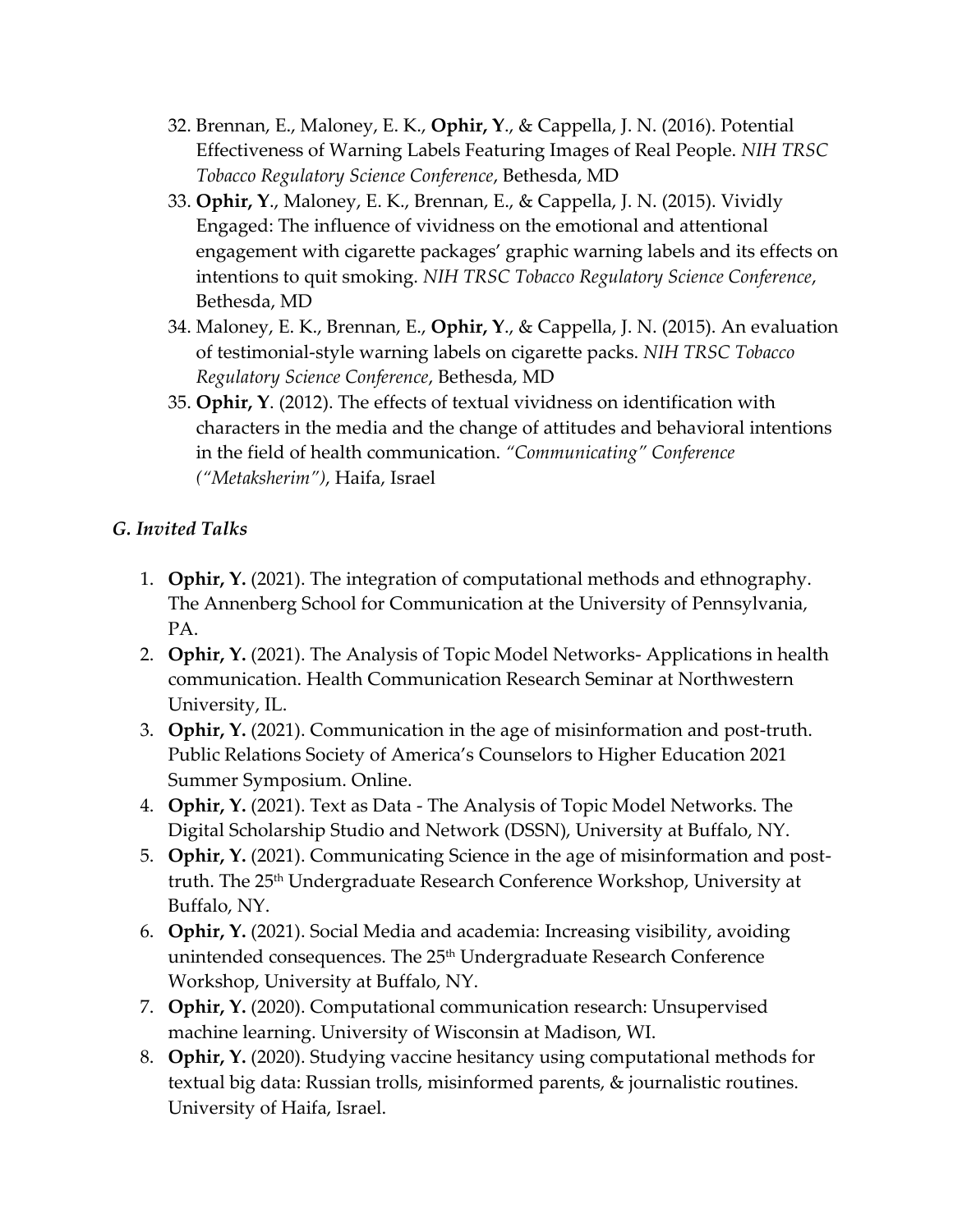- 32. Brennan, E., Maloney, E. K., **Ophir, Y**., & Cappella, J. N. (2016). Potential Effectiveness of Warning Labels Featuring Images of Real People. *NIH TRSC Tobacco Regulatory Science Conference*, Bethesda, MD
- 33. **Ophir, Y**., Maloney, E. K., Brennan, E., & Cappella, J. N. (2015). Vividly Engaged: The influence of vividness on the emotional and attentional engagement with cigarette packages' graphic warning labels and its effects on intentions to quit smoking. *NIH TRSC Tobacco Regulatory Science Conference*, Bethesda, MD
- 34. Maloney, E. K., Brennan, E., **Ophir, Y**., & Cappella, J. N. (2015). An evaluation of testimonial-style warning labels on cigarette packs. *NIH TRSC Tobacco Regulatory Science Conference*, Bethesda, MD
- 35. **Ophir, Y**. (2012). The effects of textual vividness on identification with characters in the media and the change of attitudes and behavioral intentions in the field of health communication. *"Communicating" Conference ("Metaksherim")*, Haifa, Israel

# *G. Invited Talks*

- 1. **Ophir, Y.** (2021). The integration of computational methods and ethnography. The Annenberg School for Communication at the University of Pennsylvania, PA.
- 2. **Ophir, Y.** (2021). The Analysis of Topic Model Networks- Applications in health communication. Health Communication Research Seminar at Northwestern University, IL.
- 3. **Ophir, Y.** (2021). Communication in the age of misinformation and post-truth. Public Relations Society of America's Counselors to Higher Education 2021 Summer Symposium. Online.
- 4. **Ophir, Y.** (2021). Text as Data The Analysis of Topic Model Networks. The Digital Scholarship Studio and Network (DSSN), University at Buffalo, NY.
- 5. **Ophir, Y.** (2021). Communicating Science in the age of misinformation and posttruth. The 25<sup>th</sup> Undergraduate Research Conference Workshop, University at Buffalo, NY.
- 6. **Ophir, Y.** (2021). Social Media and academia: Increasing visibility, avoiding unintended consequences. The 25<sup>th</sup> Undergraduate Research Conference Workshop, University at Buffalo, NY.
- 7. **Ophir, Y.** (2020). Computational communication research: Unsupervised machine learning. University of Wisconsin at Madison, WI.
- 8. **Ophir, Y.** (2020). Studying vaccine hesitancy using computational methods for textual big data: Russian trolls, misinformed parents, & journalistic routines. University of Haifa, Israel.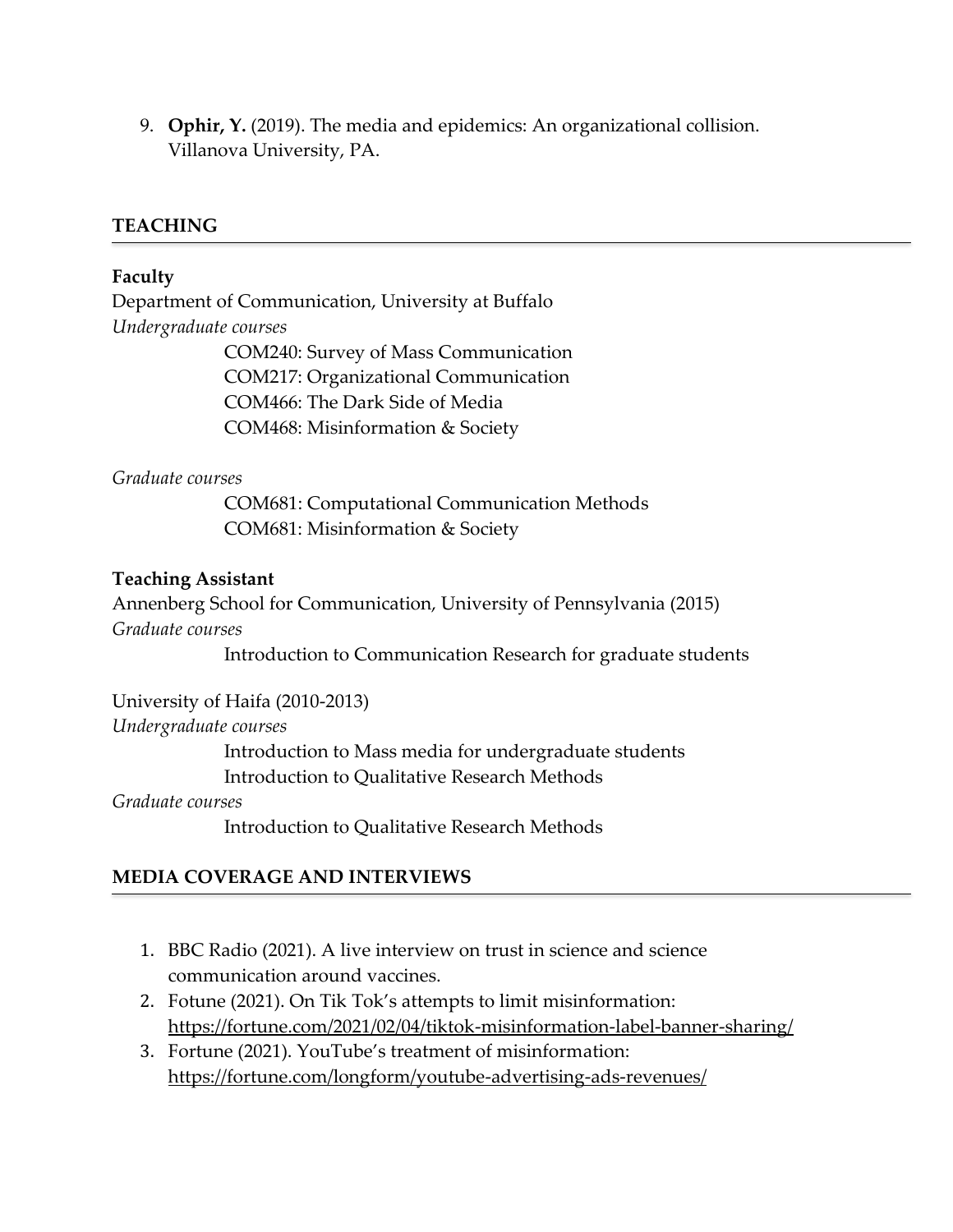9. **Ophir, Y.** (2019). The media and epidemics: An organizational collision. Villanova University, PA.

## **TEACHING**

## **Faculty**

Department of Communication, University at Buffalo *Undergraduate courses* COM240: Survey of Mass Communication COM217: Organizational Communication COM466: The Dark Side of Media COM468: Misinformation & Society

#### *Graduate courses*

COM681: Computational Communication Methods COM681: Misinformation & Society

## **Teaching Assistant**

Annenberg School for Communication, University of Pennsylvania (2015) *Graduate courses*

Introduction to Communication Research for graduate students

University of Haifa (2010-2013)

#### *Undergraduate courses*

Introduction to Mass media for undergraduate students Introduction to Qualitative Research Methods

#### *Graduate courses*

Introduction to Qualitative Research Methods

# **MEDIA COVERAGE AND INTERVIEWS**

- 1. BBC Radio (2021). A live interview on trust in science and science communication around vaccines.
- 2. Fotune (2021). On Tik Tok's attempts to limit misinformation: <https://fortune.com/2021/02/04/tiktok-misinformation-label-banner-sharing/>
- 3. Fortune (2021). YouTube's treatment of misinformation: <https://fortune.com/longform/youtube-advertising-ads-revenues/>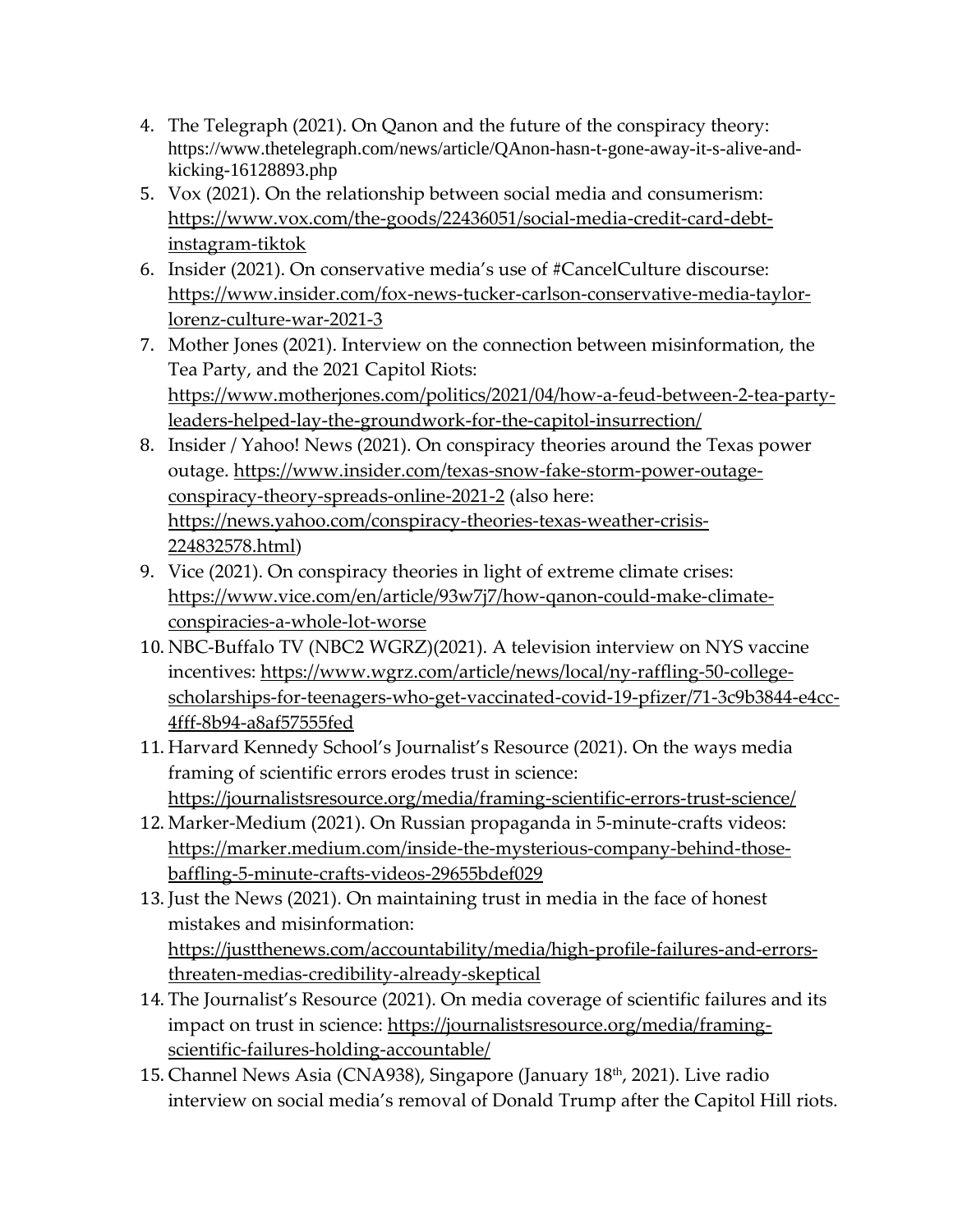- 4. The Telegraph (2021). On Qanon and the future of the conspiracy theory: https://www.thetelegraph.com/news/article/QAnon-hasn-t-gone-away-it-s-alive-andkicking-16128893.php
- 5. Vox (2021). On the relationship between social media and consumerism: [https://www.vox.com/the-goods/22436051/social-media-credit-card-debt](https://www.vox.com/the-goods/22436051/social-media-credit-card-debt-instagram-tiktok)[instagram-tiktok](https://www.vox.com/the-goods/22436051/social-media-credit-card-debt-instagram-tiktok)
- 6. Insider (2021). On conservative media's use of #CancelCulture discourse: [https://www.insider.com/fox-news-tucker-carlson-conservative-media-taylor](https://www.insider.com/fox-news-tucker-carlson-conservative-media-taylor-lorenz-culture-war-2021-3)[lorenz-culture-war-2021-3](https://www.insider.com/fox-news-tucker-carlson-conservative-media-taylor-lorenz-culture-war-2021-3)
- 7. Mother Jones (2021). Interview on the connection between misinformation, the Tea Party, and the 2021 Capitol Riots: [https://www.motherjones.com/politics/2021/04/how-a-feud-between-2-tea-party](https://www.motherjones.com/politics/2021/04/how-a-feud-between-2-tea-party-leaders-helped-lay-the-groundwork-for-the-capitol-insurrection/)[leaders-helped-lay-the-groundwork-for-the-capitol-insurrection/](https://www.motherjones.com/politics/2021/04/how-a-feud-between-2-tea-party-leaders-helped-lay-the-groundwork-for-the-capitol-insurrection/)
- 8. Insider / Yahoo! News (2021). On conspiracy theories around the Texas power outage. [https://www.insider.com/texas-snow-fake-storm-power-outage](https://www.insider.com/texas-snow-fake-storm-power-outage-conspiracy-theory-spreads-online-2021-2)[conspiracy-theory-spreads-online-2021-2](https://www.insider.com/texas-snow-fake-storm-power-outage-conspiracy-theory-spreads-online-2021-2) (also here: [https://news.yahoo.com/conspiracy-theories-texas-weather-crisis-](https://news.yahoo.com/conspiracy-theories-texas-weather-crisis-224832578.html)[224832578.html\)](https://news.yahoo.com/conspiracy-theories-texas-weather-crisis-224832578.html)
- 9. Vice (2021). On conspiracy theories in light of extreme climate crises: [https://www.vice.com/en/article/93w7j7/how-qanon-could-make-climate](https://www.vice.com/en/article/93w7j7/how-qanon-could-make-climate-conspiracies-a-whole-lot-worse)[conspiracies-a-whole-lot-worse](https://www.vice.com/en/article/93w7j7/how-qanon-could-make-climate-conspiracies-a-whole-lot-worse)
- 10. NBC-Buffalo TV (NBC2 WGRZ)(2021). A television interview on NYS vaccine incentives: [https://www.wgrz.com/article/news/local/ny-raffling-50-college](https://www.wgrz.com/article/news/local/ny-raffling-50-college-scholarships-for-teenagers-who-get-vaccinated-covid-19-pfizer/71-3c9b3844-e4cc-4fff-8b94-a8af57555fed)[scholarships-for-teenagers-who-get-vaccinated-covid-19-pfizer/71-3c9b3844-e4cc-](https://www.wgrz.com/article/news/local/ny-raffling-50-college-scholarships-for-teenagers-who-get-vaccinated-covid-19-pfizer/71-3c9b3844-e4cc-4fff-8b94-a8af57555fed)[4fff-8b94-a8af57555fed](https://www.wgrz.com/article/news/local/ny-raffling-50-college-scholarships-for-teenagers-who-get-vaccinated-covid-19-pfizer/71-3c9b3844-e4cc-4fff-8b94-a8af57555fed)
- 11. Harvard Kennedy School's Journalist's Resource (2021). On the ways media framing of scientific errors erodes trust in science: <https://journalistsresource.org/media/framing-scientific-errors-trust-science/>
- 12. Marker-Medium (2021). On Russian propaganda in 5-minute-crafts videos: [https://marker.medium.com/inside-the-mysterious-company-behind-those](https://marker.medium.com/inside-the-mysterious-company-behind-those-baffling-5-minute-crafts-videos-29655bdef029)[baffling-5-minute-crafts-videos-29655bdef029](https://marker.medium.com/inside-the-mysterious-company-behind-those-baffling-5-minute-crafts-videos-29655bdef029)
- 13. Just the News (2021). On maintaining trust in media in the face of honest mistakes and misinformation: [https://justthenews.com/accountability/media/high-profile-failures-and-errors](https://justthenews.com/accountability/media/high-profile-failures-and-errors-threaten-medias-credibility-already-skeptical)[threaten-medias-credibility-already-skeptical](https://justthenews.com/accountability/media/high-profile-failures-and-errors-threaten-medias-credibility-already-skeptical)
- 14. The Journalist's Resource (2021). On media coverage of scientific failures and its impact on trust in science: [https://journalistsresource.org/media/framing](https://journalistsresource.org/media/framing-scientific-failures-holding-accountable/)[scientific-failures-holding-accountable/](https://journalistsresource.org/media/framing-scientific-failures-holding-accountable/)
- 15. Channel News Asia (CNA938), Singapore (January 18<sup>th</sup>, 2021). Live radio interview on social media's removal of Donald Trump after the Capitol Hill riots.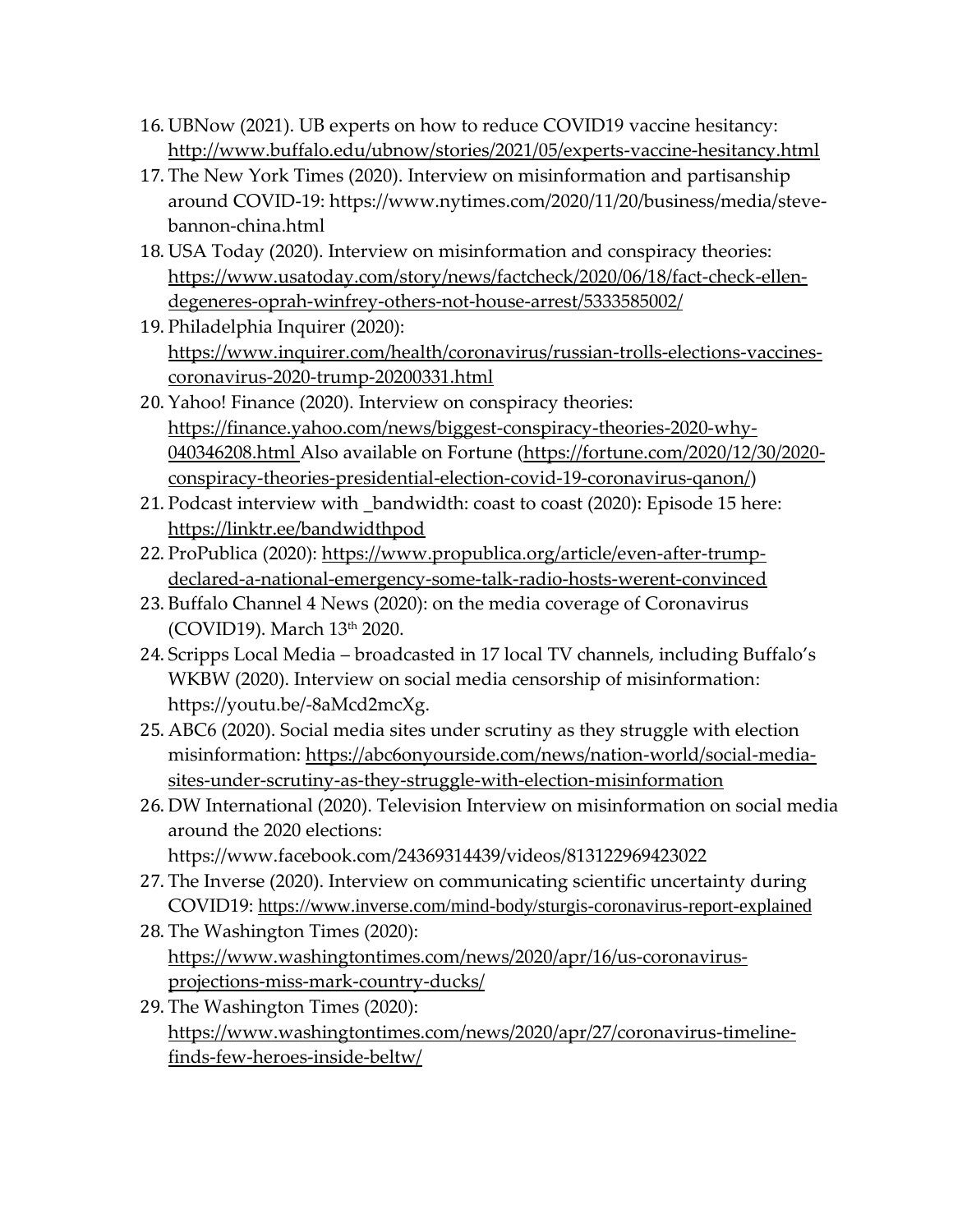- 16. UBNow (2021). UB experts on how to reduce COVID19 vaccine hesitancy: <http://www.buffalo.edu/ubnow/stories/2021/05/experts-vaccine-hesitancy.html>
- 17. The New York Times (2020). Interview on misinformation and partisanship around COVID-19: https://www.nytimes.com/2020/11/20/business/media/stevebannon-china.html
- 18. USA Today (2020). Interview on misinformation and conspiracy theories: [https://www.usatoday.com/story/news/factcheck/2020/06/18/fact-check-ellen](https://www.usatoday.com/story/news/factcheck/2020/06/18/fact-check-ellen-degeneres-oprah-winfrey-others-not-house-arrest/5333585002/)[degeneres-oprah-winfrey-others-not-house-arrest/5333585002/](https://www.usatoday.com/story/news/factcheck/2020/06/18/fact-check-ellen-degeneres-oprah-winfrey-others-not-house-arrest/5333585002/)
- 19. Philadelphia Inquirer (2020): [https://www.inquirer.com/health/coronavirus/russian-trolls-elections-vaccines](https://www.inquirer.com/health/coronavirus/russian-trolls-elections-vaccines-coronavirus-2020-trump-20200331.html)[coronavirus-2020-trump-20200331.html](https://www.inquirer.com/health/coronavirus/russian-trolls-elections-vaccines-coronavirus-2020-trump-20200331.html)
- 20. Yahoo! Finance (2020). Interview on conspiracy theories: [https://finance.yahoo.com/news/biggest-conspiracy-theories-2020-why-](https://finance.yahoo.com/news/biggest-conspiracy-theories-2020-why-040346208.html)[040346208.html](https://finance.yahoo.com/news/biggest-conspiracy-theories-2020-why-040346208.html) Also available on Fortune [\(https://fortune.com/2020/12/30/2020](https://fortune.com/2020/12/30/2020-conspiracy-theories-presidential-election-covid-19-coronavirus-qanon/) [conspiracy-theories-presidential-election-covid-19-coronavirus-qanon/\)](https://fortune.com/2020/12/30/2020-conspiracy-theories-presidential-election-covid-19-coronavirus-qanon/)
- 21. Podcast interview with \_bandwidth: coast to coast (2020): Episode 15 here: <https://linktr.ee/bandwidthpod>
- 22. ProPublica (2020): [https://www.propublica.org/article/even-after-trump](https://www.propublica.org/article/even-after-trump-declared-a-national-emergency-some-talk-radio-hosts-werent-convinced)[declared-a-national-emergency-some-talk-radio-hosts-werent-convinced](https://www.propublica.org/article/even-after-trump-declared-a-national-emergency-some-talk-radio-hosts-werent-convinced)
- 23. Buffalo Channel 4 News (2020): on the media coverage of Coronavirus (COVID19). March 13th 2020.
- 24. Scripps Local Media broadcasted in 17 local TV channels, including Buffalo's WKBW (2020). Interview on social media censorship of misinformation: https://youtu.be/-8aMcd2mcXg.
- 25. ABC6 (2020). Social media sites under scrutiny as they struggle with election misinformation: [https://abc6onyourside.com/news/nation-world/social-media](https://abc6onyourside.com/news/nation-world/social-media-sites-under-scrutiny-as-they-struggle-with-election-misinformation)[sites-under-scrutiny-as-they-struggle-with-election-misinformation](https://abc6onyourside.com/news/nation-world/social-media-sites-under-scrutiny-as-they-struggle-with-election-misinformation)
- 26. DW International (2020). Television Interview on misinformation on social media around the 2020 elections: https://www.facebook.com/24369314439/videos/813122969423022
- 27. The Inverse (2020). Interview on communicating scientific uncertainty during COVID19: <https://www.inverse.com/mind-body/sturgis-coronavirus-report-explained>
- 28. The Washington Times (2020): [https://www.washingtontimes.com/news/2020/apr/16/us-coronavirus](https://www.washingtontimes.com/news/2020/apr/16/us-coronavirus-projections-miss-mark-country-ducks/)[projections-miss-mark-country-ducks/](https://www.washingtontimes.com/news/2020/apr/16/us-coronavirus-projections-miss-mark-country-ducks/)
- 29. The Washington Times (2020): [https://www.washingtontimes.com/news/2020/apr/27/coronavirus-timeline](https://www.washingtontimes.com/news/2020/apr/27/coronavirus-timeline-finds-few-heroes-inside-beltw/)[finds-few-heroes-inside-beltw/](https://www.washingtontimes.com/news/2020/apr/27/coronavirus-timeline-finds-few-heroes-inside-beltw/)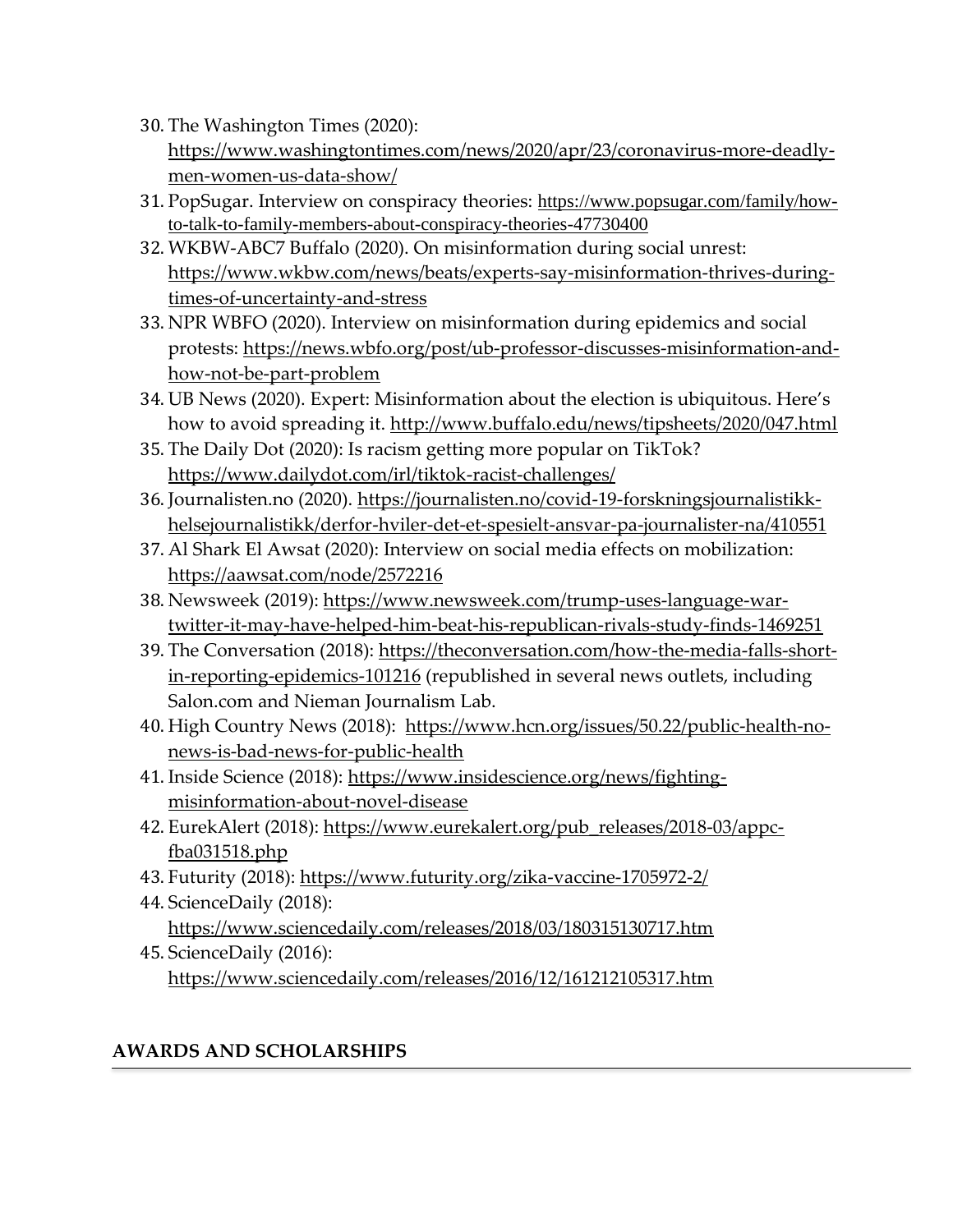- 30. The Washington Times (2020): [https://www.washingtontimes.com/news/2020/apr/23/coronavirus-more-deadly](https://www.washingtontimes.com/news/2020/apr/23/coronavirus-more-deadly-men-women-us-data-show/)[men-women-us-data-show/](https://www.washingtontimes.com/news/2020/apr/23/coronavirus-more-deadly-men-women-us-data-show/)
- 31. PopSugar. Interview on conspiracy theories: [https://www.popsugar.com/family/how](https://www.popsugar.com/family/how-to-talk-to-family-members-about-conspiracy-theories-47730400)[to-talk-to-family-members-about-conspiracy-theories-47730400](https://www.popsugar.com/family/how-to-talk-to-family-members-about-conspiracy-theories-47730400)
- 32. WKBW-ABC7 Buffalo (2020). On misinformation during social unrest: [https://www.wkbw.com/news/beats/experts-say-misinformation-thrives-during](https://www.wkbw.com/news/beats/experts-say-misinformation-thrives-during-times-of-uncertainty-and-stress)[times-of-uncertainty-and-stress](https://www.wkbw.com/news/beats/experts-say-misinformation-thrives-during-times-of-uncertainty-and-stress)
- 33. NPR WBFO (2020). Interview on misinformation during epidemics and social protests: [https://news.wbfo.org/post/ub-professor-discusses-misinformation-and](https://news.wbfo.org/post/ub-professor-discusses-misinformation-and-how-not-be-part-problem)[how-not-be-part-problem](https://news.wbfo.org/post/ub-professor-discusses-misinformation-and-how-not-be-part-problem)
- 34. UB News (2020). Expert: Misinformation about the election is ubiquitous. Here's how to avoid spreading it.<http://www.buffalo.edu/news/tipsheets/2020/047.html>
- 35. The Daily Dot (2020): Is racism getting more popular on TikTok? <https://www.dailydot.com/irl/tiktok-racist-challenges/>
- 36. Journalisten.no (2020). [https://journalisten.no/covid-19-forskningsjournalistikk](https://journalisten.no/covid-19-forskningsjournalistikk-helsejournalistikk/derfor-hviler-det-et-spesielt-ansvar-pa-journalister-na/410551)[helsejournalistikk/derfor-hviler-det-et-spesielt-ansvar-pa-journalister-na/410551](https://journalisten.no/covid-19-forskningsjournalistikk-helsejournalistikk/derfor-hviler-det-et-spesielt-ansvar-pa-journalister-na/410551)
- 37. Al Shark El Awsat (2020): Interview on social media effects on mobilization: <https://aawsat.com/node/2572216>
- 38. Newsweek (2019): [https://www.newsweek.com/trump-uses-language-war](https://www.newsweek.com/trump-uses-language-war-twitter-it-may-have-helped-him-beat-his-republican-rivals-study-finds-1469251)[twitter-it-may-have-helped-him-beat-his-republican-rivals-study-finds-1469251](https://www.newsweek.com/trump-uses-language-war-twitter-it-may-have-helped-him-beat-his-republican-rivals-study-finds-1469251)
- 39. The Conversation (2018): [https://theconversation.com/how-the-media-falls-short](https://theconversation.com/how-the-media-falls-short-in-reporting-epidemics-101216)[in-reporting-epidemics-101216](https://theconversation.com/how-the-media-falls-short-in-reporting-epidemics-101216) (republished in several news outlets, including Salon.com and Nieman Journalism Lab.
- 40. High Country News (2018): [https://www.hcn.org/issues/50.22/public-health-no](https://www.hcn.org/issues/50.22/public-health-no-news-is-bad-news-for-public-health)[news-is-bad-news-for-public-health](https://www.hcn.org/issues/50.22/public-health-no-news-is-bad-news-for-public-health)
- 41. Inside Science (2018): [https://www.insidescience.org/news/fighting](https://www.insidescience.org/news/fighting-misinformation-about-novel-disease)[misinformation-about-novel-disease](https://www.insidescience.org/news/fighting-misinformation-about-novel-disease)
- 42. EurekAlert (2018): [https://www.eurekalert.org/pub\\_releases/2018-03/appc](https://www.eurekalert.org/pub_releases/2018-03/appc-fba031518.php)[fba031518.php](https://www.eurekalert.org/pub_releases/2018-03/appc-fba031518.php)
- 43. Futurity (2018):<https://www.futurity.org/zika-vaccine-1705972-2/>
- 44. ScienceDaily (2018): <https://www.sciencedaily.com/releases/2018/03/180315130717.htm>
- 45. ScienceDaily (2016): <https://www.sciencedaily.com/releases/2016/12/161212105317.htm>

# **AWARDS AND SCHOLARSHIPS**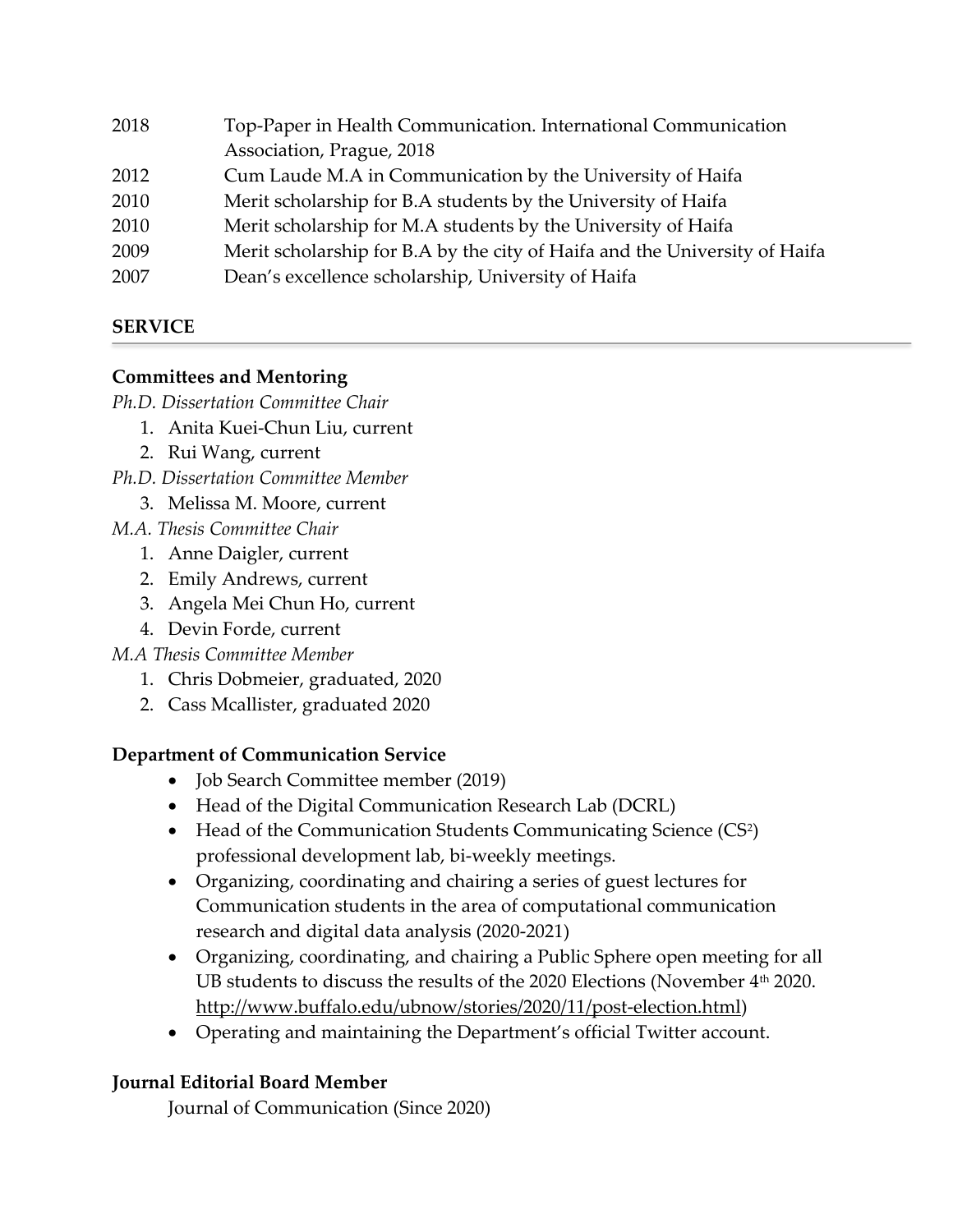| 2018 | Top-Paper in Health Communication. International Communication             |
|------|----------------------------------------------------------------------------|
|      | Association, Prague, 2018                                                  |
| 2012 | Cum Laude M.A in Communication by the University of Haifa                  |
| 2010 | Merit scholarship for B.A students by the University of Haifa              |
| 2010 | Merit scholarship for M.A students by the University of Haifa              |
| 2009 | Merit scholarship for B.A by the city of Haifa and the University of Haifa |
| 2007 | Dean's excellence scholarship, University of Haifa                         |
|      |                                                                            |

# **SERVICE**

# **Committees and Mentoring**

*Ph.D. Dissertation Committee Chair*

- 1. Anita Kuei-Chun Liu, current
- 2. Rui Wang, current
- *Ph.D. Dissertation Committee Member*
	- 3. Melissa M. Moore, current
- *M.A. Thesis Committee Chair*
	- 1. Anne Daigler, current
	- 2. Emily Andrews, current
	- 3. Angela Mei Chun Ho, current
	- 4. Devin Forde, current

# *M.A Thesis Committee Member*

- 1. Chris Dobmeier, graduated, 2020
- 2. Cass Mcallister, graduated 2020

# **Department of Communication Service**

- Job Search Committee member (2019)
- Head of the Digital Communication Research Lab (DCRL)
- Head of the Communication Students Communicating Science (CS<sup>2</sup>) professional development lab, bi-weekly meetings.
- Organizing, coordinating and chairing a series of guest lectures for Communication students in the area of computational communication research and digital data analysis (2020-2021)
- Organizing, coordinating, and chairing a Public Sphere open meeting for all UB students to discuss the results of the 2020 Elections (November 4<sup>th</sup> 2020. [http://www.buffalo.edu/ubnow/stories/2020/11/post-election.html\)](http://www.buffalo.edu/ubnow/stories/2020/11/post-election.html)
- Operating and maintaining the Department's official Twitter account.

# **Journal Editorial Board Member**

Journal of Communication (Since 2020)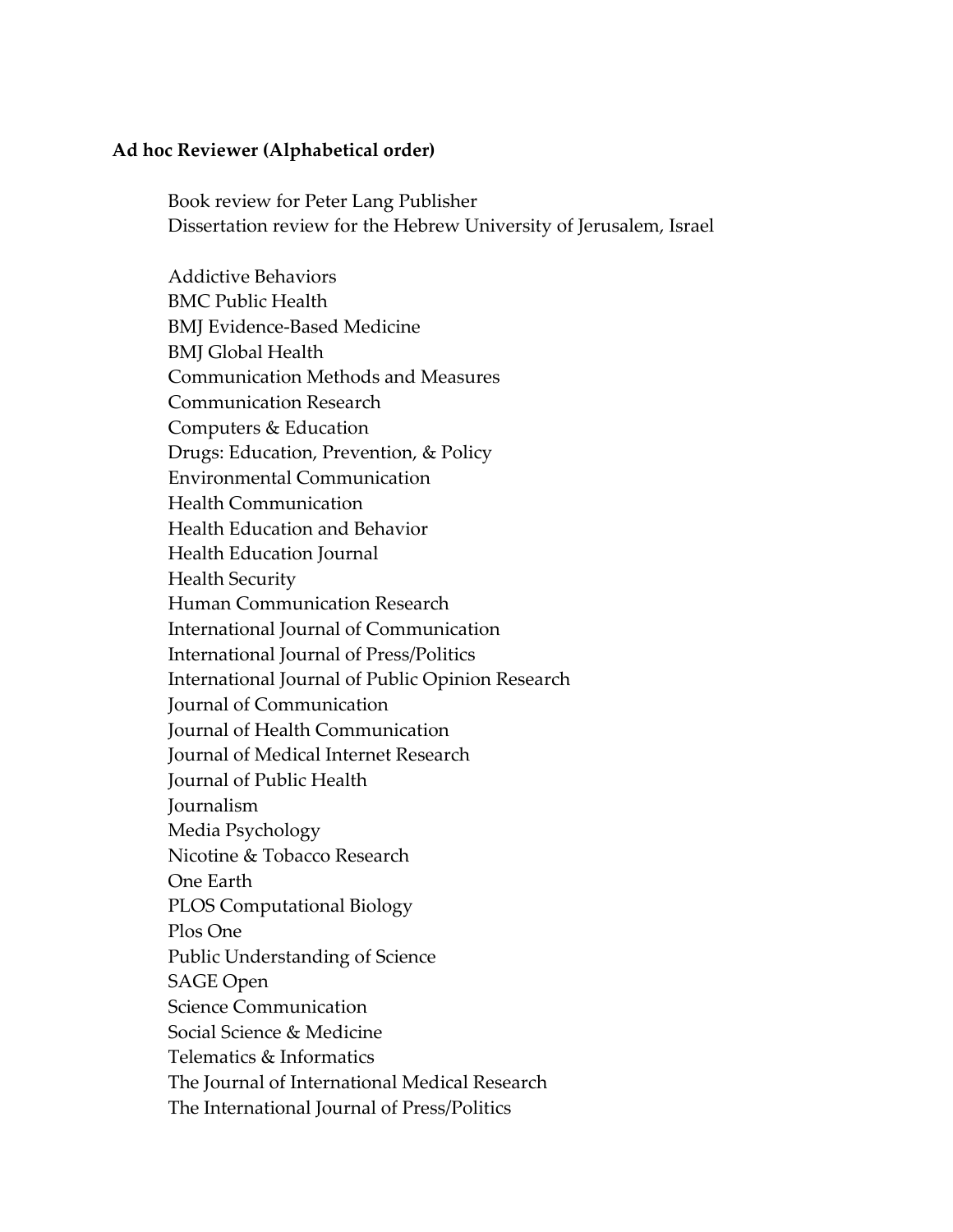#### **Ad hoc Reviewer (Alphabetical order)**

Book review for Peter Lang Publisher Dissertation review for the Hebrew University of Jerusalem, Israel

Addictive Behaviors BMC Public Health BMJ Evidence-Based Medicine BMJ Global Health Communication Methods and Measures Communication Research Computers & Education Drugs: Education, Prevention, & Policy Environmental Communication Health Communication Health Education and Behavior Health Education Journal Health Security Human Communication Research International Journal of Communication International Journal of Press/Politics International Journal of Public Opinion Research Journal of Communication Journal of Health Communication Journal of Medical Internet Research Journal of Public Health Journalism Media Psychology Nicotine & Tobacco Research One Earth PLOS Computational Biology Plos One Public Understanding of Science SAGE Open Science Communication Social Science & Medicine Telematics & Informatics The Journal of International Medical Research The International Journal of Press/Politics